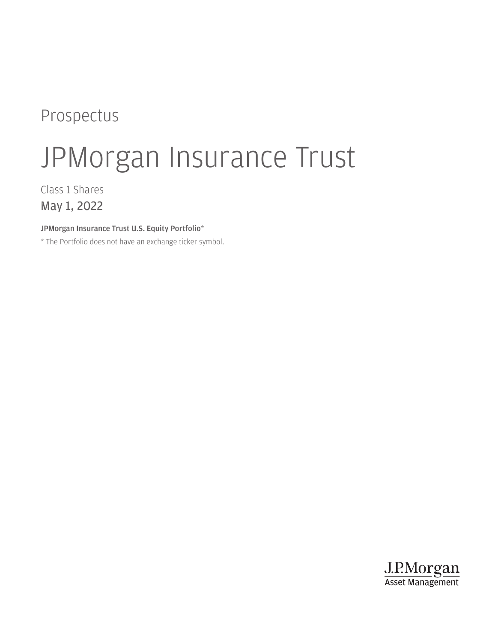# Prospectus

# JPMorgan Insurance Trust

Class 1 Shares May 1, 2022

JPMorgan Insurance Trust U.S. Equity Portfolio\*

\* The Portfolio does not have an exchange ticker symbol.

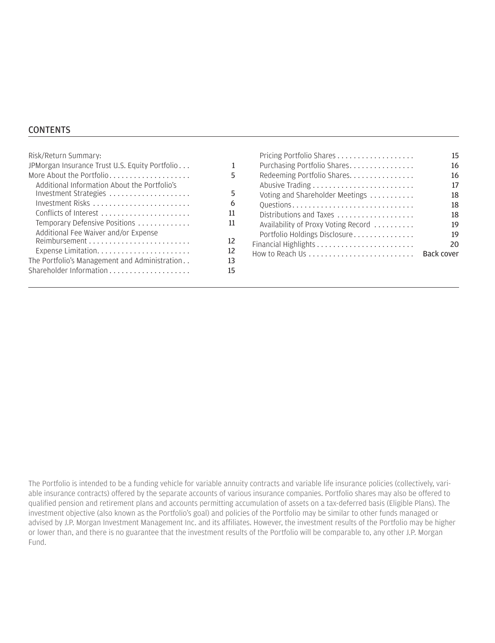#### **CONTENTS**

| Risk/Return Summary:                           |    |
|------------------------------------------------|----|
| JPMorgan Insurance Trust U.S. Equity Portfolio | 1  |
| More About the Portfolio                       | 5  |
| Additional Information About the Portfolio's   |    |
| Investment Strategies                          | 5  |
| Investment Risks                               | 6  |
| Conflicts of Interest                          | 11 |
| Temporary Defensive Positions                  | 11 |
| Additional Fee Waiver and/or Expense           |    |
|                                                | 12 |
|                                                | 12 |
| The Portfolio's Management and Administration  | 13 |
| Shareholder Information                        | 15 |
|                                                |    |

|                                     | 15.               |
|-------------------------------------|-------------------|
| Purchasing Portfolio Shares         | 16                |
| Redeeming Portfolio Shares.         | 16                |
|                                     | 17                |
| Voting and Shareholder Meetings     | 18                |
| Questions                           | 18                |
| Distributions and Taxes             | 18                |
| Availability of Proxy Voting Record | 19                |
| Portfolio Holdings Disclosure       | 19                |
|                                     | 20                |
|                                     | <b>Back cover</b> |
|                                     |                   |

The Portfolio is intended to be a funding vehicle for variable annuity contracts and variable life insurance policies (collectively, variable insurance contracts) offered by the separate accounts of various insurance companies. Portfolio shares may also be offered to qualified pension and retirement plans and accounts permitting accumulation of assets on a tax-deferred basis (Eligible Plans). The investment objective (also known as the Portfolio's goal) and policies of the Portfolio may be similar to other funds managed or advised by J.P. Morgan Investment Management Inc. and its affiliates. However, the investment results of the Portfolio may be higher or lower than, and there is no guarantee that the investment results of the Portfolio will be comparable to, any other J.P. Morgan Fund.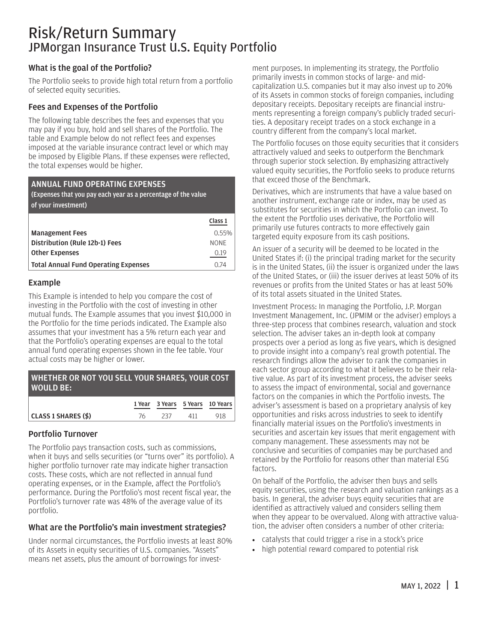### <span id="page-2-0"></span>Risk/Return Summary JPMorgan Insurance Trust U.S. Equity Portfolio

#### What is the goal of the Portfolio?

The Portfolio seeks to provide high total return from a portfolio of selected equity securities.

#### Fees and Expenses of the Portfolio

The following table describes the fees and expenses that you may pay if you buy, hold and sell shares of the Portfolio. The table and Example below do not reflect fees and expenses imposed at the variable insurance contract level or which may be imposed by Eligible Plans. If these expenses were reflected, the total expenses would be higher.

#### ANNUAL FUND OPERATING EXPENSES

(Expenses that you pay each year as a percentage of the value of your investment)

|                                             | Class 1     |
|---------------------------------------------|-------------|
| <b>Management Fees</b>                      | $0.55\%$    |
| Distribution (Rule 12b-1) Fees              | <b>NONE</b> |
| <b>Other Expenses</b>                       | 0.19        |
| <b>Total Annual Fund Operating Expenses</b> | O 74        |

#### Example

This Example is intended to help you compare the cost of investing in the Portfolio with the cost of investing in other mutual funds. The Example assumes that you invest \$10,000 in the Portfolio for the time periods indicated. The Example also assumes that your investment has a 5% return each year and that the Portfolio's operating expenses are equal to the total annual fund operating expenses shown in the fee table. Your actual costs may be higher or lower.

| WHETHER OR NOT YOU SELL YOUR SHARES, YOUR COST<br>  WOULD BE: ' |    |      |     |                                 |
|-----------------------------------------------------------------|----|------|-----|---------------------------------|
|                                                                 |    |      |     | 1 Year 3 Years 5 Years 10 Years |
| CLASS 1 SHARES (\$)                                             | 76 | -237 | 411 | 918                             |

#### Portfolio Turnover

The Portfolio pays transaction costs, such as commissions, when it buys and sells securities (or "turns over" its portfolio). A higher portfolio turnover rate may indicate higher transaction costs. These costs, which are not reflected in annual fund operating expenses, or in the Example, affect the Portfolio's performance. During the Portfolio's most recent fiscal year, the Portfolio's turnover rate was 48% of the average value of its portfolio.

#### What are the Portfolio's main investment strategies?

Under normal circumstances, the Portfolio invests at least 80% of its Assets in equity securities of U.S. companies. "Assets" means net assets, plus the amount of borrowings for invest-

ment purposes. In implementing its strategy, the Portfolio primarily invests in common stocks of large- and midcapitalization U.S. companies but it may also invest up to 20% of its Assets in common stocks of foreign companies, including depositary receipts. Depositary receipts are financial instruments representing a foreign company's publicly traded securities. A depositary receipt trades on a stock exchange in a country different from the company's local market.

The Portfolio focuses on those equity securities that it considers attractively valued and seeks to outperform the Benchmark through superior stock selection. By emphasizing attractively valued equity securities, the Portfolio seeks to produce returns that exceed those of the Benchmark.

Derivatives, which are instruments that have a value based on another instrument, exchange rate or index, may be used as substitutes for securities in which the Portfolio can invest. To the extent the Portfolio uses derivative, the Portfolio will primarily use futures contracts to more effectively gain targeted equity exposure from its cash positions.

An issuer of a security will be deemed to be located in the United States if: (i) the principal trading market for the security is in the United States, (ii) the issuer is organized under the laws of the United States, or (iii) the issuer derives at least 50% of its revenues or profits from the United States or has at least 50% of its total assets situated in the United States.

Investment Process: In managing the Portfolio, J.P. Morgan Investment Management, Inc. (JPMIM or the adviser) employs a three-step process that combines research, valuation and stock selection. The adviser takes an in-depth look at company prospects over a period as long as five years, which is designed to provide insight into a company's real growth potential. The research findings allow the adviser to rank the companies in each sector group according to what it believes to be their relative value. As part of its investment process, the adviser seeks to assess the impact of environmental, social and governance factors on the companies in which the Portfolio invests. The adviser's assessment is based on a proprietary analysis of key opportunities and risks across industries to seek to identify financially material issues on the Portfolio's investments in securities and ascertain key issues that merit engagement with company management. These assessments may not be conclusive and securities of companies may be purchased and retained by the Portfolio for reasons other than material ESG factors.

On behalf of the Portfolio, the adviser then buys and sells equity securities, using the research and valuation rankings as a basis. In general, the adviser buys equity securities that are identified as attractively valued and considers selling them when they appear to be overvalued. Along with attractive valuation, the adviser often considers a number of other criteria:

- catalysts that could trigger a rise in a stock's price
- high potential reward compared to potential risk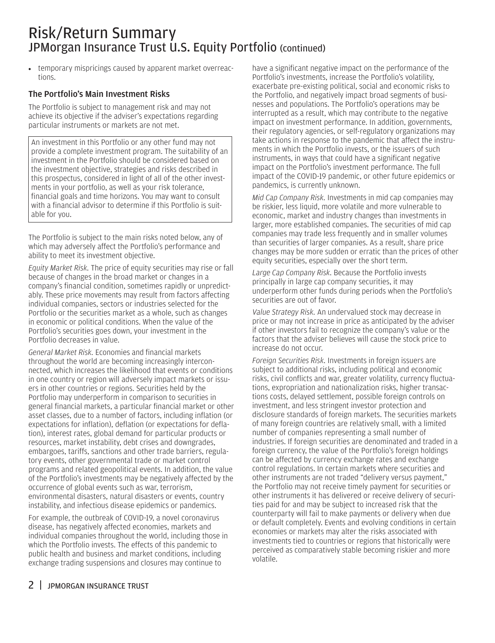### Risk/Return Summary JPMorgan Insurance Trust U.S. Equity Portfolio (continued)

• temporary mispricings caused by apparent market overreactions.

#### The Portfolio's Main Investment Risks

The Portfolio is subject to management risk and may not achieve its objective if the adviser's expectations regarding particular instruments or markets are not met.

An investment in this Portfolio or any other fund may not provide a complete investment program. The suitability of an investment in the Portfolio should be considered based on the investment objective, strategies and risks described in this prospectus, considered in light of all of the other investments in your portfolio, as well as your risk tolerance, financial goals and time horizons. You may want to consult with a financial advisor to determine if this Portfolio is suitable for you.

The Portfolio is subject to the main risks noted below, any of which may adversely affect the Portfolio's performance and ability to meet its investment objective.

*Equity Market Risk.* The price of equity securities may rise or fall because of changes in the broad market or changes in a company's financial condition, sometimes rapidly or unpredictably. These price movements may result from factors affecting individual companies, sectors or industries selected for the Portfolio or the securities market as a whole, such as changes in economic or political conditions. When the value of the Portfolio's securities goes down, your investment in the Portfolio decreases in value.

*General Market Risk.* Economies and financial markets throughout the world are becoming increasingly interconnected, which increases the likelihood that events or conditions in one country or region will adversely impact markets or issuers in other countries or regions. Securities held by the Portfolio may underperform in comparison to securities in general financial markets, a particular financial market or other asset classes, due to a number of factors, including inflation (or expectations for inflation), deflation (or expectations for deflation), interest rates, global demand for particular products or resources, market instability, debt crises and downgrades, embargoes, tariffs, sanctions and other trade barriers, regulatory events, other governmental trade or market control programs and related geopolitical events. In addition, the value of the Portfolio's investments may be negatively affected by the occurrence of global events such as war, terrorism, environmental disasters, natural disasters or events, country instability, and infectious disease epidemics or pandemics.

For example, the outbreak of COVID-19, a novel coronavirus disease, has negatively affected economies, markets and individual companies throughout the world, including those in which the Portfolio invests. The effects of this pandemic to public health and business and market conditions, including exchange trading suspensions and closures may continue to

have a significant negative impact on the performance of the Portfolio's investments, increase the Portfolio's volatility, exacerbate pre-existing political, social and economic risks to the Portfolio, and negatively impact broad segments of businesses and populations. The Portfolio's operations may be interrupted as a result, which may contribute to the negative impact on investment performance. In addition, governments, their regulatory agencies, or self-regulatory organizations may take actions in response to the pandemic that affect the instruments in which the Portfolio invests, or the issuers of such instruments, in ways that could have a significant negative impact on the Portfolio's investment performance. The full impact of the COVID-19 pandemic, or other future epidemics or pandemics, is currently unknown.

*Mid Cap Company Risk.* Investments in mid cap companies may be riskier, less liquid, more volatile and more vulnerable to economic, market and industry changes than investments in larger, more established companies. The securities of mid cap companies may trade less frequently and in smaller volumes than securities of larger companies. As a result, share price changes may be more sudden or erratic than the prices of other equity securities, especially over the short term.

*Large Cap Company Risk.* Because the Portfolio invests principally in large cap company securities, it may underperform other funds during periods when the Portfolio's securities are out of favor.

*Value Strategy Risk.* An undervalued stock may decrease in price or may not increase in price as anticipated by the adviser if other investors fail to recognize the company's value or the factors that the adviser believes will cause the stock price to increase do not occur.

*Foreign Securities Risk.* Investments in foreign issuers are subject to additional risks, including political and economic risks, civil conflicts and war, greater volatility, currency fluctuations, expropriation and nationalization risks, higher transactions costs, delayed settlement, possible foreign controls on investment, and less stringent investor protection and disclosure standards of foreign markets. The securities markets of many foreign countries are relatively small, with a limited number of companies representing a small number of industries. If foreign securities are denominated and traded in a foreign currency, the value of the Portfolio's foreign holdings can be affected by currency exchange rates and exchange control regulations. In certain markets where securities and other instruments are not traded "delivery versus payment," the Portfolio may not receive timely payment for securities or other instruments it has delivered or receive delivery of securities paid for and may be subject to increased risk that the counterparty will fail to make payments or delivery when due or default completely. Events and evolving conditions in certain economies or markets may alter the risks associated with investments tied to countries or regions that historically were perceived as comparatively stable becoming riskier and more volatile.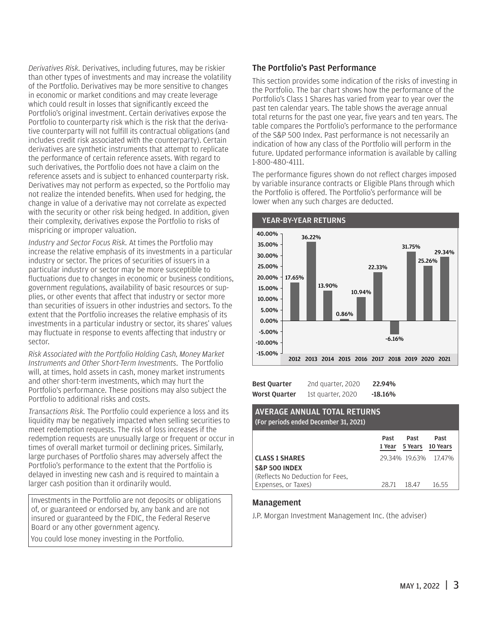*Derivatives Risk.* Derivatives, including futures, may be riskier than other types of investments and may increase the volatility of the Portfolio. Derivatives may be more sensitive to changes in economic or market conditions and may create leverage which could result in losses that significantly exceed the Portfolio's original investment. Certain derivatives expose the Portfolio to counterparty risk which is the risk that the derivative counterparty will not fulfill its contractual obligations (and includes credit risk associated with the counterparty). Certain derivatives are synthetic instruments that attempt to replicate the performance of certain reference assets. With regard to such derivatives, the Portfolio does not have a claim on the reference assets and is subject to enhanced counterparty risk. Derivatives may not perform as expected, so the Portfolio may not realize the intended benefits. When used for hedging, the change in value of a derivative may not correlate as expected with the security or other risk being hedged. In addition, given their complexity, derivatives expose the Portfolio to risks of mispricing or improper valuation.

*Industry and Sector Focus Risk.* At times the Portfolio may increase the relative emphasis of its investments in a particular industry or sector. The prices of securities of issuers in a particular industry or sector may be more susceptible to fluctuations due to changes in economic or business conditions, government regulations, availability of basic resources or supplies, or other events that affect that industry or sector more than securities of issuers in other industries and sectors. To the extent that the Portfolio increases the relative emphasis of its investments in a particular industry or sector, its shares' values may fluctuate in response to events affecting that industry or sector.

*Risk Associated with the Portfolio Holding Cash, Money Market Instruments and Other Short-Term Investments*. The Portfolio will, at times, hold assets in cash, money market instruments and other short-term investments, which may hurt the Portfolio's performance. These positions may also subject the Portfolio to additional risks and costs.

*Transactions Risk.* The Portfolio could experience a loss and its liquidity may be negatively impacted when selling securities to meet redemption requests. The risk of loss increases if the redemption requests are unusually large or frequent or occur in times of overall market turmoil or declining prices. Similarly, large purchases of Portfolio shares may adversely affect the Portfolio's performance to the extent that the Portfolio is delayed in investing new cash and is required to maintain a larger cash position than it ordinarily would.

Investments in the Portfolio are not deposits or obligations of, or guaranteed or endorsed by, any bank and are not insured or guaranteed by the FDIC, the Federal Reserve Board or any other government agency.

You could lose money investing in the Portfolio.

#### The Portfolio's Past Performance

This section provides some indication of the risks of investing in the Portfolio. The bar chart shows how the performance of the Portfolio's Class 1 Shares has varied from year to year over the past ten calendar years. The table shows the average annual total returns for the past one year, five years and ten years. The table compares the Portfolio's performance to the performance of the S&P 500 Index. Past performance is not necessarily an indication of how any class of the Portfolio will perform in the future. Updated performance information is available by calling 1-800-480-4111.

The performance figures shown do not reflect charges imposed by variable insurance contracts or Eligible Plans through which the Portfolio is offered. The Portfolio's performance will be lower when any such charges are deducted.



| Best Ouarter  | 2nd quarter, 2020 | 22.94%    |
|---------------|-------------------|-----------|
| Worst Ouarter | 1st quarter, 2020 | $-18.16%$ |

#### AVERAGE ANNUAL TOTAL RETURNS (For periods ended December 31, 2021)

|                                  | Past  | Past<br>1 Year 5 Years 10 Years | Past                 |
|----------------------------------|-------|---------------------------------|----------------------|
| <b>CLASS 1 SHARES</b>            |       |                                 | 29.34% 19.63% 17.47% |
| <b>S&amp;P 500 INDEX</b>         |       |                                 |                      |
| (Reflects No Deduction for Fees. |       |                                 |                      |
| Expenses, or Taxes)              | 28.71 | 18.47                           | 16.55                |

#### Management

J.P. Morgan Investment Management Inc. (the adviser)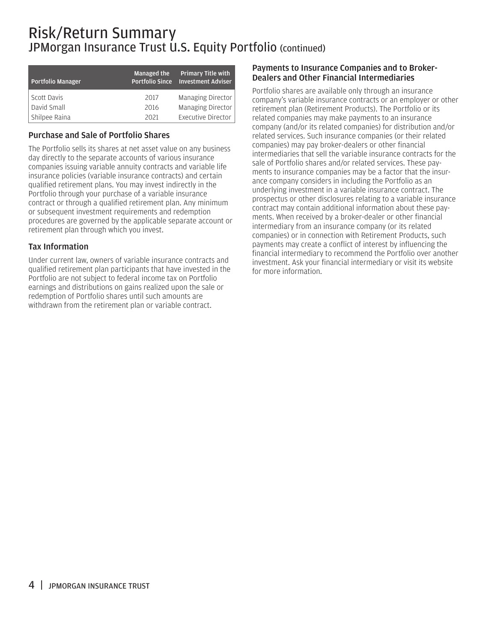### Risk/Return Summary JPMorgan Insurance Trust U.S. Equity Portfolio (continued)

| <b>Portfolio Manager</b> | <b>Managed the</b><br><b>Portfolio Since</b> | <b>Primary Title with</b><br><b>Investment Adviser</b> |
|--------------------------|----------------------------------------------|--------------------------------------------------------|
| Scott Davis              | 2017                                         | Managing Director                                      |
| David Small              | 2016                                         | <b>Managing Director</b>                               |
| Shilpee Raina            | 2021                                         | <b>Executive Director</b>                              |

#### Purchase and Sale of Portfolio Shares

The Portfolio sells its shares at net asset value on any business day directly to the separate accounts of various insurance companies issuing variable annuity contracts and variable life insurance policies (variable insurance contracts) and certain qualified retirement plans. You may invest indirectly in the Portfolio through your purchase of a variable insurance contract or through a qualified retirement plan. Any minimum or subsequent investment requirements and redemption procedures are governed by the applicable separate account or retirement plan through which you invest.

#### Tax Information

Under current law, owners of variable insurance contracts and qualified retirement plan participants that have invested in the Portfolio are not subject to federal income tax on Portfolio earnings and distributions on gains realized upon the sale or redemption of Portfolio shares until such amounts are withdrawn from the retirement plan or variable contract.

#### Payments to Insurance Companies and to Broker-Dealers and Other Financial Intermediaries

Portfolio shares are available only through an insurance company's variable insurance contracts or an employer or other retirement plan (Retirement Products). The Portfolio or its related companies may make payments to an insurance company (and/or its related companies) for distribution and/or related services. Such insurance companies (or their related companies) may pay broker-dealers or other financial intermediaries that sell the variable insurance contracts for the sale of Portfolio shares and/or related services. These payments to insurance companies may be a factor that the insurance company considers in including the Portfolio as an underlying investment in a variable insurance contract. The prospectus or other disclosures relating to a variable insurance contract may contain additional information about these payments. When received by a broker-dealer or other financial intermediary from an insurance company (or its related companies) or in connection with Retirement Products, such payments may create a conflict of interest by influencing the financial intermediary to recommend the Portfolio over another investment. Ask your financial intermediary or visit its website for more information.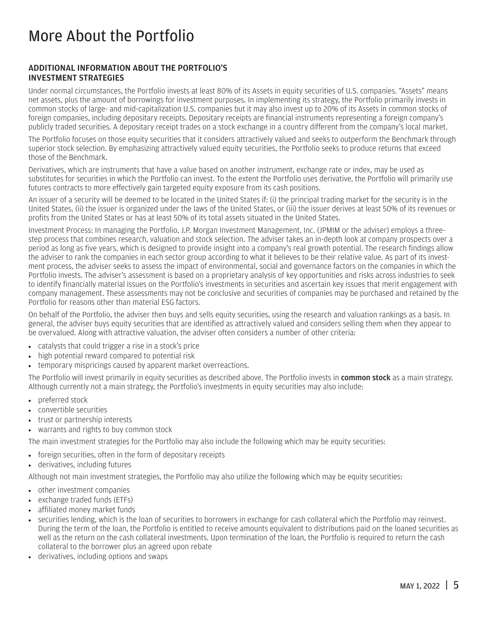### <span id="page-6-0"></span>More About the Portfolio

#### ADDITIONAL INFORMATION ABOUT THE PORTFOLIO'S INVESTMENT STRATEGIES

Under normal circumstances, the Portfolio invests at least 80% of its Assets in equity securities of U.S. companies. "Assets" means net assets, plus the amount of borrowings for investment purposes. In implementing its strategy, the Portfolio primarily invests in common stocks of large- and mid-capitalization U.S. companies but it may also invest up to 20% of its Assets in common stocks of foreign companies, including depositary receipts. Depositary receipts are financial instruments representing a foreign company's publicly traded securities. A depositary receipt trades on a stock exchange in a country different from the company's local market.

The Portfolio focuses on those equity securities that it considers attractively valued and seeks to outperform the Benchmark through superior stock selection. By emphasizing attractively valued equity securities, the Portfolio seeks to produce returns that exceed those of the Benchmark.

Derivatives, which are instruments that have a value based on another instrument, exchange rate or index, may be used as substitutes for securities in which the Portfolio can invest. To the extent the Portfolio uses derivative, the Portfolio will primarily use futures contracts to more effectively gain targeted equity exposure from its cash positions.

An issuer of a security will be deemed to be located in the United States if: (i) the principal trading market for the security is in the United States, (ii) the issuer is organized under the laws of the United States, or (iii) the issuer derives at least 50% of its revenues or profits from the United States or has at least 50% of its total assets situated in the United States.

Investment Process: In managing the Portfolio, J.P. Morgan Investment Management, Inc. (JPMIM or the adviser) employs a threestep process that combines research, valuation and stock selection. The adviser takes an in-depth look at company prospects over a period as long as five years, which is designed to provide insight into a company's real growth potential. The research findings allow the adviser to rank the companies in each sector group according to what it believes to be their relative value. As part of its investment process, the adviser seeks to assess the impact of environmental, social and governance factors on the companies in which the Portfolio invests. The adviser's assessment is based on a proprietary analysis of key opportunities and risks across industries to seek to identify financially material issues on the Portfolio's investments in securities and ascertain key issues that merit engagement with company management. These assessments may not be conclusive and securities of companies may be purchased and retained by the Portfolio for reasons other than material ESG factors.

On behalf of the Portfolio, the adviser then buys and sells equity securities, using the research and valuation rankings as a basis. In general, the adviser buys equity securities that are identified as attractively valued and considers selling them when they appear to be overvalued. Along with attractive valuation, the adviser often considers a number of other criteria:

- catalysts that could trigger a rise in a stock's price
- high potential reward compared to potential risk
- temporary mispricings caused by apparent market overreactions.

The Portfolio will invest primarily in equity securities as described above. The Portfolio invests in common stock as a main strategy. Although currently not a main strategy, the Portfolio's investments in equity securities may also include:

- preferred stock
- convertible securities
- trust or partnership interests
- warrants and rights to buy common stock

The main investment strategies for the Portfolio may also include the following which may be equity securities:

- foreign securities, often in the form of depositary receipts
- derivatives, including futures

Although not main investment strategies, the Portfolio may also utilize the following which may be equity securities:

- other investment companies
- exchange traded funds (ETFs)
- affiliated money market funds
- securities lending, which is the loan of securities to borrowers in exchange for cash collateral which the Portfolio may reinvest. During the term of the loan, the Portfolio is entitled to receive amounts equivalent to distributions paid on the loaned securities as well as the return on the cash collateral investments. Upon termination of the loan, the Portfolio is required to return the cash collateral to the borrower plus an agreed upon rebate
- derivatives, including options and swaps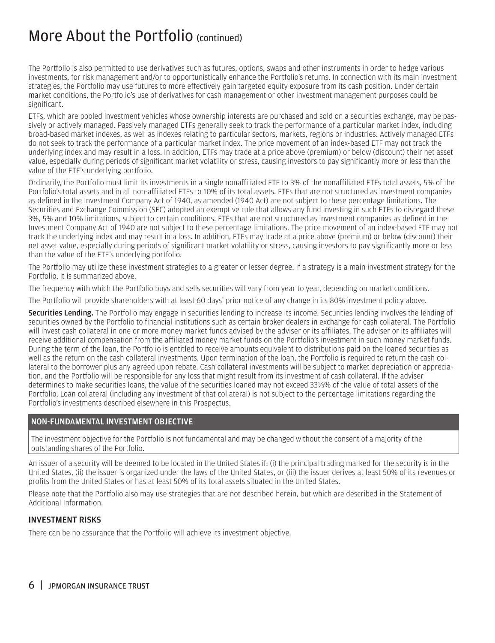### <span id="page-7-0"></span>More About the Portfolio (continued)

The Portfolio is also permitted to use derivatives such as futures, options, swaps and other instruments in order to hedge various investments, for risk management and/or to opportunistically enhance the Portfolio's returns. In connection with its main investment strategies, the Portfolio may use futures to more effectively gain targeted equity exposure from its cash position. Under certain market conditions, the Portfolio's use of derivatives for cash management or other investment management purposes could be significant.

ETFs, which are pooled investment vehicles whose ownership interests are purchased and sold on a securities exchange, may be passively or actively managed. Passively managed ETFs generally seek to track the performance of a particular market index, including broad-based market indexes, as well as indexes relating to particular sectors, markets, regions or industries. Actively managed ETFs do not seek to track the performance of a particular market index. The price movement of an index-based ETF may not track the underlying index and may result in a loss. In addition, ETFs may trade at a price above (premium) or below (discount) their net asset value, especially during periods of significant market volatility or stress, causing investors to pay significantly more or less than the value of the ETF's underlying portfolio.

Ordinarily, the Portfolio must limit its investments in a single nonaffiliated ETF to 3% of the nonaffiliated ETFs total assets, 5% of the Portfolio's total assets and in all non-affiliated ETFs to 10% of its total assets. ETFs that are not structured as investment companies as defined in the Investment Company Act of 1940, as amended (1940 Act) are not subject to these percentage limitations. The Securities and Exchange Commission (SEC) adopted an exemptive rule that allows any fund investing in such ETFs to disregard these 3%, 5% and 10% limitations, subject to certain conditions. ETFs that are not structured as investment companies as defined in the Investment Company Act of 1940 are not subject to these percentage limitations. The price movement of an index-based ETF may not track the underlying index and may result in a loss. In addition, ETFs may trade at a price above (premium) or below (discount) their net asset value, especially during periods of significant market volatility or stress, causing investors to pay significantly more or less than the value of the ETF's underlying portfolio.

The Portfolio may utilize these investment strategies to a greater or lesser degree. If a strategy is a main investment strategy for the Portfolio, it is summarized above.

The frequency with which the Portfolio buys and sells securities will vary from year to year, depending on market conditions.

The Portfolio will provide shareholders with at least 60 days' prior notice of any change in its 80% investment policy above.

Securities Lending. The Portfolio may engage in securities lending to increase its income. Securities lending involves the lending of securities owned by the Portfolio to financial institutions such as certain broker dealers in exchange for cash collateral. The Portfolio will invest cash collateral in one or more money market funds advised by the adviser or its affiliates. The adviser or its affiliates will receive additional compensation from the affiliated money market funds on the Portfolio's investment in such money market funds. During the term of the loan, the Portfolio is entitled to receive amounts equivalent to distributions paid on the loaned securities as well as the return on the cash collateral investments. Upon termination of the loan, the Portfolio is required to return the cash collateral to the borrower plus any agreed upon rebate. Cash collateral investments will be subject to market depreciation or appreciation, and the Portfolio will be responsible for any loss that might result from its investment of cash collateral. If the adviser determines to make securities loans, the value of the securities loaned may not exceed 331 ⁄3% of the value of total assets of the Portfolio. Loan collateral (including any investment of that collateral) is not subject to the percentage limitations regarding the Portfolio's investments described elsewhere in this Prospectus.

#### NON-FUNDAMENTAL INVESTMENT OBJECTIVE

The investment objective for the Portfolio is not fundamental and may be changed without the consent of a majority of the outstanding shares of the Portfolio.

An issuer of a security will be deemed to be located in the United States if: (i) the principal trading marked for the security is in the United States, (ii) the issuer is organized under the laws of the United States, or (iii) the issuer derives at least 50% of its revenues or profits from the United States or has at least 50% of its total assets situated in the United States.

Please note that the Portfolio also may use strategies that are not described herein, but which are described in the Statement of Additional Information.

#### INVESTMENT RISKS

There can be no assurance that the Portfolio will achieve its investment objective.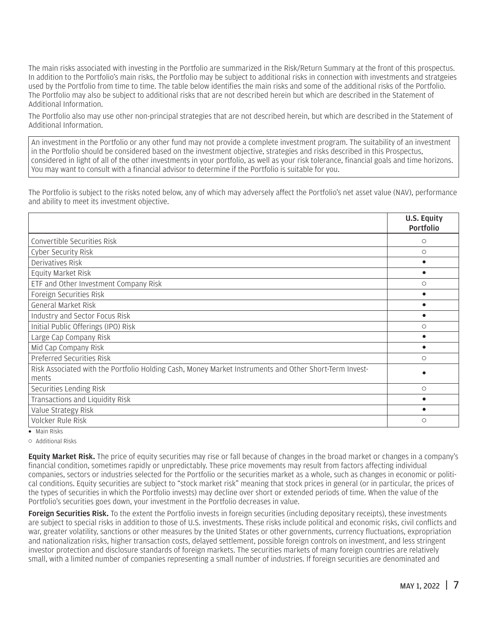The main risks associated with investing in the Portfolio are summarized in the Risk/Return Summary at the front of this prospectus. In addition to the Portfolio's main risks, the Portfolio may be subject to additional risks in connection with investments and stratgeies used by the Portfolio from time to time. The table below identifies the main risks and some of the additional risks of the Portfolio. The Portfolio may also be subject to additional risks that are not described herein but which are described in the Statement of Additional Information.

The Portfolio also may use other non-principal strategies that are not described herein, but which are described in the Statement of Additional Information.

An investment in the Portfolio or any other fund may not provide a complete investment program. The suitability of an investment in the Portfolio should be considered based on the investment objective, strategies and risks described in this Prospectus, considered in light of all of the other investments in your portfolio, as well as your risk tolerance, financial goals and time horizons. You may want to consult with a financial advisor to determine if the Portfolio is suitable for you.

The Portfolio is subject to the risks noted below, any of which may adversely affect the Portfolio's net asset value (NAV), performance and ability to meet its investment objective.

|                                                                                                                 | U.S. Equity<br>Portfolio |
|-----------------------------------------------------------------------------------------------------------------|--------------------------|
| Convertible Securities Risk                                                                                     | O                        |
| Cyber Security Risk                                                                                             | $\circ$                  |
| Derivatives Risk                                                                                                | $\bullet$                |
| Equity Market Risk                                                                                              | $\bullet$                |
| ETF and Other Investment Company Risk                                                                           | $\circ$                  |
| Foreign Securities Risk                                                                                         | $\bullet$                |
| General Market Risk                                                                                             | ٠                        |
| Industry and Sector Focus Risk                                                                                  | ٠                        |
| Initial Public Offerings (IPO) Risk                                                                             | $\circ$                  |
| Large Cap Company Risk                                                                                          | ٠                        |
| Mid Cap Company Risk                                                                                            | $\bullet$                |
| Preferred Securities Risk                                                                                       | $\circ$                  |
| Risk Associated with the Portfolio Holding Cash, Money Market Instruments and Other Short-Term Invest-<br>ments |                          |
| Securities Lending Risk                                                                                         | $\circ$                  |
| Transactions and Liquidity Risk                                                                                 |                          |
| Value Strategy Risk                                                                                             | $\bullet$                |
| Volcker Rule Risk                                                                                               | $\circ$                  |
| $\bullet$ Main Risks                                                                                            |                          |

 $\circ$  Additional Risks

**Equity Market Risk.** The price of equity securities may rise or fall because of changes in the broad market or changes in a company's financial condition, sometimes rapidly or unpredictably. These price movements may result from factors affecting individual companies, sectors or industries selected for the Portfolio or the securities market as a whole, such as changes in economic or political conditions. Equity securities are subject to "stock market risk" meaning that stock prices in general (or in particular, the prices of the types of securities in which the Portfolio invests) may decline over short or extended periods of time. When the value of the Portfolio's securities goes down, your investment in the Portfolio decreases in value.

Foreign Securities Risk. To the extent the Portfolio invests in foreign securities (including depositary receipts), these investments are subject to special risks in addition to those of U.S. investments. These risks include political and economic risks, civil conflicts and war, greater volatility, sanctions or other measures by the United States or other governments, currency fluctuations, expropriation and nationalization risks, higher transaction costs, delayed settlement, possible foreign controls on investment, and less stringent investor protection and disclosure standards of foreign markets. The securities markets of many foreign countries are relatively small, with a limited number of companies representing a small number of industries. If foreign securities are denominated and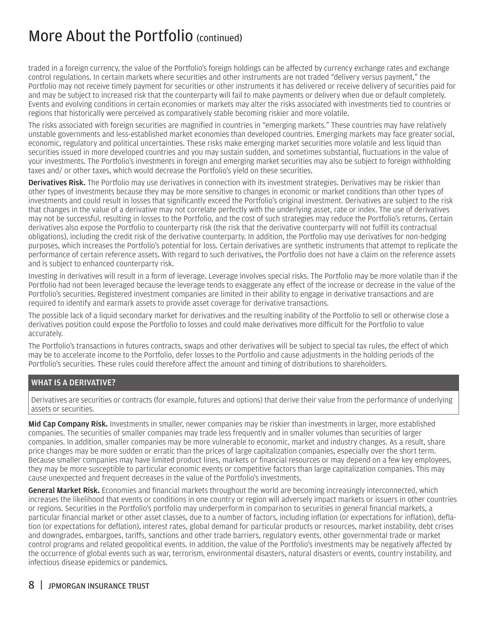### More About the Portfolio (continued)

traded in a foreign currency, the value of the Portfolio's foreign holdings can be affected by currency exchange rates and exchange control regulations. In certain markets where securities and other instruments are not traded "delivery versus payment," the Portfolio may not receive timely payment for securities or other instruments it has delivered or receive delivery of securities paid for and may be subject to increased risk that the counterparty will fail to make payments or delivery when due or default completely. Events and evolving conditions in certain economies or markets may alter the risks associated with investments tied to countries or regions that historically were perceived as comparatively stable becoming riskier and more volatile.

The risks associated with foreign securities are magnified in countries in "emerging markets." These countries may have relatively unstable governments and less-established market economies than developed countries. Emerging markets may face greater social, economic, regulatory and political uncertainties. These risks make emerging market securities more volatile and less liquid than securities issued in more developed countries and you may sustain sudden, and sometimes substantial, fluctuations in the value of your investments. The Portfolio's investments in foreign and emerging market securities may also be subject to foreign withholding taxes and/ or other taxes, which would decrease the Portfolio's yield on these securities.

Derivatives Risk. The Portfolio may use derivatives in connection with its investment strategies. Derivatives may be riskier than other types of investments because they may be more sensitive to changes in economic or market conditions than other types of investments and could result in losses that significantly exceed the Portfolio's original investment. Derivatives are subject to the risk that changes in the value of a derivative may not correlate perfectly with the underlying asset, rate or index. The use of derivatives may not be successful, resulting in losses to the Portfolio, and the cost of such strategies may reduce the Portfolio's returns. Certain derivatives also expose the Portfolio to counterparty risk (the risk that the derivative counterparty will not fulfill its contractual obligations), including the credit risk of the derivative counterparty. In addition, the Portfolio may use derivatives for non-hedging purposes, which increases the Portfolio's potential for loss. Certain derivatives are synthetic instruments that attempt to replicate the performance of certain reference assets. With regard to such derivatives, the Portfolio does not have a claim on the reference assets and is subject to enhanced counterparty risk.

Investing in derivatives will result in a form of leverage. Leverage involves special risks. The Portfolio may be more volatile than if the Portfolio had not been leveraged because the leverage tends to exaggerate any effect of the increase or decrease in the value of the Portfolio's securities. Registered investment companies are limited in their ability to engage in derivative transactions and are required to identify and earmark assets to provide asset coverage for derivative transactions.

The possible lack of a liquid secondary market for derivatives and the resulting inability of the Portfolio to sell or otherwise close a derivatives position could expose the Portfolio to losses and could make derivatives more difficult for the Portfolio to value accurately.

The Portfolio's transactions in futures contracts, swaps and other derivatives will be subject to special tax rules, the effect of which may be to accelerate income to the Portfolio, defer losses to the Portfolio and cause adjustments in the holding periods of the Portfolio's securities. These rules could therefore affect the amount and timing of distributions to shareholders.

#### WHAT IS A DERIVATIVE?

Derivatives are securities or contracts (for example, futures and options) that derive their value from the performance of underlying assets or securities.

Mid Cap Company Risk. Investments in smaller, newer companies may be riskier than investments in larger, more established companies. The securities of smaller companies may trade less frequently and in smaller volumes than securities of larger companies. In addition, smaller companies may be more vulnerable to economic, market and industry changes. As a result, share price changes may be more sudden or erratic than the prices of large capitalization companies, especially over the short term. Because smaller companies may have limited product lines, markets or financial resources or may depend on a few key employees, they may be more susceptible to particular economic events or competitive factors than large capitalization companies. This may cause unexpected and frequent decreases in the value of the Portfolio's investments.

General Market Risk. Economies and financial markets throughout the world are becoming increasingly interconnected, which increases the likelihood that events or conditions in one country or region will adversely impact markets or issuers in other countries or regions. Securities in the Portfolio's portfolio may underperform in comparison to securities in general financial markets, a particular financial market or other asset classes, due to a number of factors, including inflation (or expectations for inflation), deflation (or expectations for deflation), interest rates, global demand for particular products or resources, market instability, debt crises and downgrades, embargoes, tariffs, sanctions and other trade barriers, regulatory events, other governmental trade or market control programs and related geopolitical events. In addition, the value of the Portfolio's investments may be negatively affected by the occurrence of global events such as war, terrorism, environmental disasters, natural disasters or events, country instability, and infectious disease epidemics or pandemics.

#### 8 | JPMORGAN INSURANCE TRUST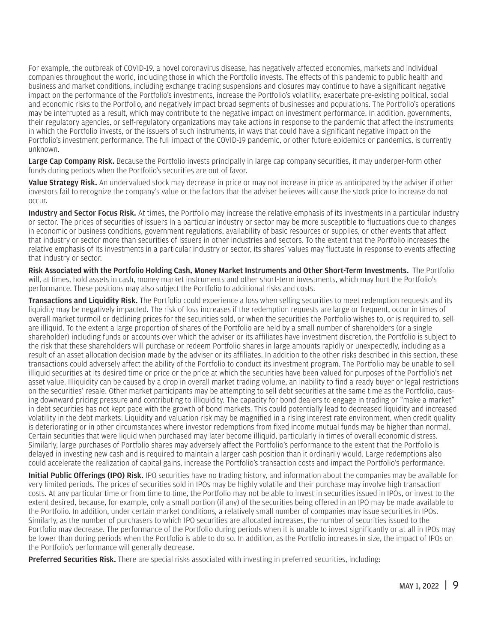For example, the outbreak of COVID-19, a novel coronavirus disease, has negatively affected economies, markets and individual companies throughout the world, including those in which the Portfolio invests. The effects of this pandemic to public health and business and market conditions, including exchange trading suspensions and closures may continue to have a significant negative impact on the performance of the Portfolio's investments, increase the Portfolio's volatility, exacerbate pre-existing political, social and economic risks to the Portfolio, and negatively impact broad segments of businesses and populations. The Portfolio's operations may be interrupted as a result, which may contribute to the negative impact on investment performance. In addition, governments, their regulatory agencies, or self-regulatory organizations may take actions in response to the pandemic that affect the instruments in which the Portfolio invests, or the issuers of such instruments, in ways that could have a significant negative impact on the Portfolio's investment performance. The full impact of the COVID-19 pandemic, or other future epidemics or pandemics, is currently unknown.

Large Cap Company Risk. Because the Portfolio invests principally in large cap company securities, it may underper-form other funds during periods when the Portfolio's securities are out of favor.

Value Strategy Risk. An undervalued stock may decrease in price or may not increase in price as anticipated by the adviser if other investors fail to recognize the company's value or the factors that the adviser believes will cause the stock price to increase do not occur.

Industry and Sector Focus Risk. At times, the Portfolio may increase the relative emphasis of its investments in a particular industry or sector. The prices of securities of issuers in a particular industry or sector may be more susceptible to fluctuations due to changes in economic or business conditions, government regulations, availability of basic resources or supplies, or other events that affect that industry or sector more than securities of issuers in other industries and sectors. To the extent that the Portfolio increases the relative emphasis of its investments in a particular industry or sector, its shares' values may fluctuate in response to events affecting that industry or sector.

Risk Associated with the Portfolio Holding Cash, Money Market Instruments and Other Short-Term Investments. The Portfolio will, at times, hold assets in cash, money market instruments and other short-term investments, which may hurt the Portfolio's performance. These positions may also subject the Portfolio to additional risks and costs.

Transactions and Liquidity Risk. The Portfolio could experience a loss when selling securities to meet redemption requests and its liquidity may be negatively impacted. The risk of loss increases if the redemption requests are large or frequent, occur in times of overall market turmoil or declining prices for the securities sold, or when the securities the Portfolio wishes to, or is required to, sell are illiquid. To the extent a large proportion of shares of the Portfolio are held by a small number of shareholders (or a single shareholder) including funds or accounts over which the adviser or its affiliates have investment discretion, the Portfolio is subject to the risk that these shareholders will purchase or redeem Portfolio shares in large amounts rapidly or unexpectedly, including as a result of an asset allocation decision made by the adviser or its affiliates. In addition to the other risks described in this section, these transactions could adversely affect the ability of the Portfolio to conduct its investment program. The Portfolio may be unable to sell illiquid securities at its desired time or price or the price at which the securities have been valued for purposes of the Portfolio's net asset value. Illiquidity can be caused by a drop in overall market trading volume, an inability to find a ready buyer or legal restrictions on the securities' resale. Other market participants may be attempting to sell debt securities at the same time as the Portfolio, causing downward pricing pressure and contributing to illiquidity. The capacity for bond dealers to engage in trading or "make a market" in debt securities has not kept pace with the growth of bond markets. This could potentially lead to decreased liquidity and increased volatility in the debt markets. Liquidity and valuation risk may be magnified in a rising interest rate environment, when credit quality is deteriorating or in other circumstances where investor redemptions from fixed income mutual funds may be higher than normal. Certain securities that were liquid when purchased may later become illiquid, particularly in times of overall economic distress. Similarly, large purchases of Portfolio shares may adversely affect the Portfolio's performance to the extent that the Portfolio is delayed in investing new cash and is required to maintain a larger cash position than it ordinarily would. Large redemptions also could accelerate the realization of capital gains, increase the Portfolio's transaction costs and impact the Portfolio's performance.

Initial Public Offerings (IPO) Risk. IPO securities have no trading history, and information about the companies may be available for very limited periods. The prices of securities sold in IPOs may be highly volatile and their purchase may involve high transaction costs. At any particular time or from time to time, the Portfolio may not be able to invest in securities issued in IPOs, or invest to the extent desired, because, for example, only a small portion (if any) of the securities being offered in an IPO may be made available to the Portfolio. In addition, under certain market conditions, a relatively small number of companies may issue securities in IPOs. Similarly, as the number of purchasers to which IPO securities are allocated increases, the number of securities issued to the Portfolio may decrease. The performance of the Portfolio during periods when it is unable to invest significantly or at all in IPOs may be lower than during periods when the Portfolio is able to do so. In addition, as the Portfolio increases in size, the impact of IPOs on the Portfolio's performance will generally decrease.

**Preferred Securities Risk.** There are special risks associated with investing in preferred securities, including: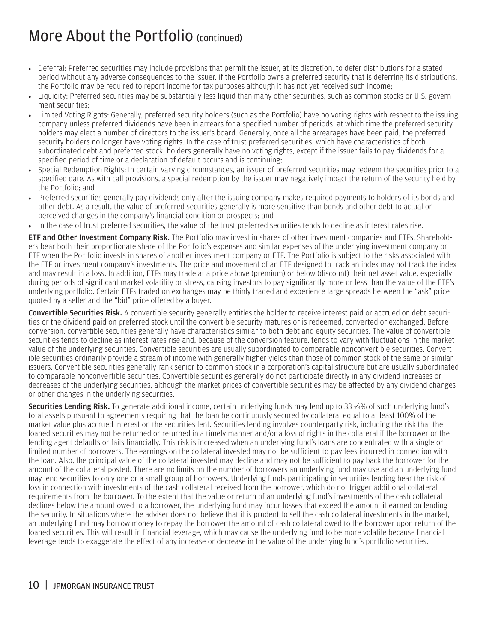### More About the Portfolio (continued)

- Deferral: Preferred securities may include provisions that permit the issuer, at its discretion, to defer distributions for a stated period without any adverse consequences to the issuer. If the Portfolio owns a preferred security that is deferring its distributions, the Portfolio may be required to report income for tax purposes although it has not yet received such income;
- Liquidity: Preferred securities may be substantially less liquid than many other securities, such as common stocks or U.S. government securities;
- Limited Voting Rights: Generally, preferred security holders (such as the Portfolio) have no voting rights with respect to the issuing company unless preferred dividends have been in arrears for a specified number of periods, at which time the preferred security holders may elect a number of directors to the issuer's board. Generally, once all the arrearages have been paid, the preferred security holders no longer have voting rights. In the case of trust preferred securities, which have characteristics of both subordinated debt and preferred stock, holders generally have no voting rights, except if the issuer fails to pay dividends for a specified period of time or a declaration of default occurs and is continuing;
- Special Redemption Rights: In certain varying circumstances, an issuer of preferred securities may redeem the securities prior to a specified date. As with call provisions, a special redemption by the issuer may negatively impact the return of the security held by the Portfolio; and
- Preferred securities generally pay dividends only after the issuing company makes required payments to holders of its bonds and other debt. As a result, the value of preferred securities generally is more sensitive than bonds and other debt to actual or perceived changes in the company's financial condition or prospects; and
- In the case of trust preferred securities, the value of the trust preferred securities tends to decline as interest rates rise.

**ETF and Other Investment Company Risk.** The Portfolio may invest in shares of other investment companies and ETFs. Shareholders bear both their proportionate share of the Portfolio's expenses and similar expenses of the underlying investment company or ETF when the Portfolio invests in shares of another investment company or ETF. The Portfolio is subject to the risks associated with the ETF or investment company's investments. The price and movement of an ETF designed to track an index may not track the index and may result in a loss. In addition, ETFs may trade at a price above (premium) or below (discount) their net asset value, especially during periods of significant market volatility or stress, causing investors to pay significantly more or less than the value of the ETF's underlying portfolio. Certain ETFs traded on exchanges may be thinly traded and experience large spreads between the "ask" price quoted by a seller and the "bid" price offered by a buyer.

Convertible Securities Risk. A convertible security generally entitles the holder to receive interest paid or accrued on debt securities or the dividend paid on preferred stock until the convertible security matures or is redeemed, converted or exchanged. Before conversion, convertible securities generally have characteristics similar to both debt and equity securities. The value of convertible securities tends to decline as interest rates rise and, because of the conversion feature, tends to vary with fluctuations in the market value of the underlying securities. Convertible securities are usually subordinated to comparable nonconvertible securities. Convertible securities ordinarily provide a stream of income with generally higher yields than those of common stock of the same or similar issuers. Convertible securities generally rank senior to common stock in a corporation's capital structure but are usually subordinated to comparable nonconvertible securities. Convertible securities generally do not participate directly in any dividend increases or decreases of the underlying securities, although the market prices of convertible securities may be affected by any dividend changes or other changes in the underlying securities.

Securities Lending Risk. To generate additional income, certain underlying funds may lend up to 33 1⁄3% of such underlying fund's total assets pursuant to agreements requiring that the loan be continuously secured by collateral equal to at least 100% of the market value plus accrued interest on the securities lent. Securities lending involves counterparty risk, including the risk that the loaned securities may not be returned or returned in a timely manner and/or a loss of rights in the collateral if the borrower or the lending agent defaults or fails financially. This risk is increased when an underlying fund's loans are concentrated with a single or limited number of borrowers. The earnings on the collateral invested may not be sufficient to pay fees incurred in connection with the loan. Also, the principal value of the collateral invested may decline and may not be sufficient to pay back the borrower for the amount of the collateral posted. There are no limits on the number of borrowers an underlying fund may use and an underlying fund may lend securities to only one or a small group of borrowers. Underlying funds participating in securities lending bear the risk of loss in connection with investments of the cash collateral received from the borrower, which do not trigger additional collateral requirements from the borrower. To the extent that the value or return of an underlying fund's investments of the cash collateral declines below the amount owed to a borrower, the underlying fund may incur losses that exceed the amount it earned on lending the security. In situations where the adviser does not believe that it is prudent to sell the cash collateral investments in the market, an underlying fund may borrow money to repay the borrower the amount of cash collateral owed to the borrower upon return of the loaned securities. This will result in financial leverage, which may cause the underlying fund to be more volatile because financial leverage tends to exaggerate the effect of any increase or decrease in the value of the underlying fund's portfolio securities.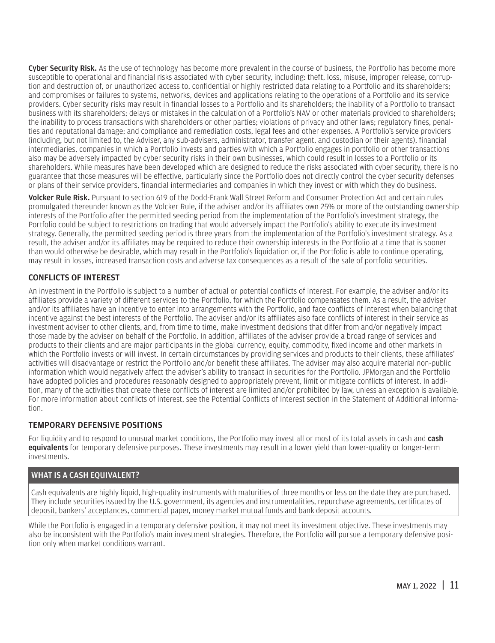<span id="page-12-0"></span>Cyber Security Risk. As the use of technology has become more prevalent in the course of business, the Portfolio has become more susceptible to operational and financial risks associated with cyber security, including: theft, loss, misuse, improper release, corruption and destruction of, or unauthorized access to, confidential or highly restricted data relating to a Portfolio and its shareholders; and compromises or failures to systems, networks, devices and applications relating to the operations of a Portfolio and its service providers. Cyber security risks may result in financial losses to a Portfolio and its shareholders; the inability of a Portfolio to transact business with its shareholders; delays or mistakes in the calculation of a Portfolio's NAV or other materials provided to shareholders; the inability to process transactions with shareholders or other parties; violations of privacy and other laws; regulatory fines, penalties and reputational damage; and compliance and remediation costs, legal fees and other expenses. A Portfolio's service providers (including, but not limited to, the Adviser, any sub-advisers, administrator, transfer agent, and custodian or their agents), financial intermediaries, companies in which a Portfolio invests and parties with which a Portfolio engages in portfolio or other transactions also may be adversely impacted by cyber security risks in their own businesses, which could result in losses to a Portfolio or its shareholders. While measures have been developed which are designed to reduce the risks associated with cyber security, there is no guarantee that those measures will be effective, particularly since the Portfolio does not directly control the cyber security defenses or plans of their service providers, financial intermediaries and companies in which they invest or with which they do business.

Volcker Rule Risk. Pursuant to section 619 of the Dodd-Frank Wall Street Reform and Consumer Protection Act and certain rules promulgated thereunder known as the Volcker Rule, if the adviser and/or its affiliates own 25% or more of the outstanding ownership interests of the Portfolio after the permitted seeding period from the implementation of the Portfolio's investment strategy, the Portfolio could be subject to restrictions on trading that would adversely impact the Portfolio's ability to execute its investment strategy. Generally, the permitted seeding period is three years from the implementation of the Portfolio's investment strategy. As a result, the adviser and/or its affiliates may be required to reduce their ownership interests in the Portfolio at a time that is sooner than would otherwise be desirable, which may result in the Portfolio's liquidation or, if the Portfolio is able to continue operating, may result in losses, increased transaction costs and adverse tax consequences as a result of the sale of portfolio securities.

#### CONFLICTS OF INTEREST

An investment in the Portfolio is subject to a number of actual or potential conflicts of interest. For example, the adviser and/or its affiliates provide a variety of different services to the Portfolio, for which the Portfolio compensates them. As a result, the adviser and/or its affiliates have an incentive to enter into arrangements with the Portfolio, and face conflicts of interest when balancing that incentive against the best interests of the Portfolio. The adviser and/or its affiliates also face conflicts of interest in their service as investment adviser to other clients, and, from time to time, make investment decisions that differ from and/or negatively impact those made by the adviser on behalf of the Portfolio. In addition, affiliates of the adviser provide a broad range of services and products to their clients and are major participants in the global currency, equity, commodity, fixed income and other markets in which the Portfolio invests or will invest. In certain circumstances by providing services and products to their clients, these affiliates' activities will disadvantage or restrict the Portfolio and/or benefit these affiliates. The adviser may also acquire material non-public information which would negatively affect the adviser's ability to transact in securities for the Portfolio. JPMorgan and the Portfolio have adopted policies and procedures reasonably designed to appropriately prevent, limit or mitigate conflicts of interest. In addition, many of the activities that create these conflicts of interest are limited and/or prohibited by law, unless an exception is available. For more information about conflicts of interest, see the Potential Conflicts of Interest section in the Statement of Additional Information.

#### TEMPORARY DEFENSIVE POSITIONS

For liquidity and to respond to unusual market conditions, the Portfolio may invest all or most of its total assets in cash and cash equivalents for temporary defensive purposes. These investments may result in a lower yield than lower-quality or longer-term investments.

#### WHAT IS A CASH EOUIVALENT?

Cash equivalents are highly liquid, high-quality instruments with maturities of three months or less on the date they are purchased. They include securities issued by the U.S. government, its agencies and instrumentalities, repurchase agreements, certificates of deposit, bankers' acceptances, commercial paper, money market mutual funds and bank deposit accounts.

While the Portfolio is engaged in a temporary defensive position, it may not meet its investment objective. These investments may also be inconsistent with the Portfolio's main investment strategies. Therefore, the Portfolio will pursue a temporary defensive position only when market conditions warrant.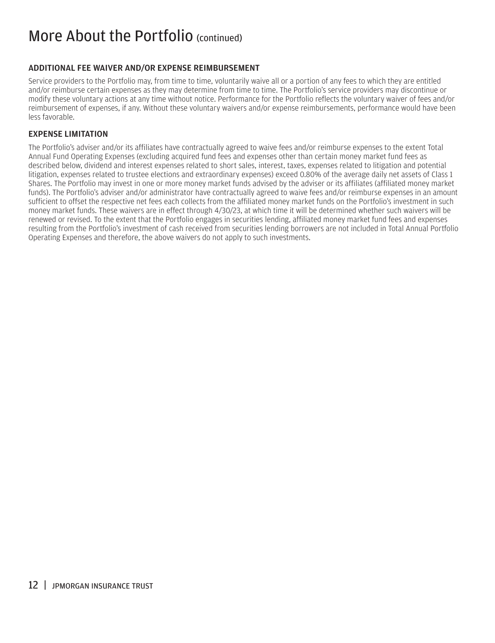### <span id="page-13-0"></span>More About the Portfolio (continued)

#### ADDITIONAL FEE WAIVER AND/OR EXPENSE REIMBURSEMENT

Service providers to the Portfolio may, from time to time, voluntarily waive all or a portion of any fees to which they are entitled and/or reimburse certain expenses as they may determine from time to time. The Portfolio's service providers may discontinue or modify these voluntary actions at any time without notice. Performance for the Portfolio reflects the voluntary waiver of fees and/or reimbursement of expenses, if any. Without these voluntary waivers and/or expense reimbursements, performance would have been less favorable.

#### EXPENSE LIMITATION

The Portfolio's adviser and/or its affiliates have contractually agreed to waive fees and/or reimburse expenses to the extent Total Annual Fund Operating Expenses (excluding acquired fund fees and expenses other than certain money market fund fees as described below, dividend and interest expenses related to short sales, interest, taxes, expenses related to litigation and potential litigation, expenses related to trustee elections and extraordinary expenses) exceed 0.80% of the average daily net assets of Class 1 Shares. The Portfolio may invest in one or more money market funds advised by the adviser or its affiliates (affiliated money market funds). The Portfolio's adviser and/or administrator have contractually agreed to waive fees and/or reimburse expenses in an amount sufficient to offset the respective net fees each collects from the affiliated money market funds on the Portfolio's investment in such money market funds. These waivers are in effect through 4/30/23, at which time it will be determined whether such waivers will be renewed or revised. To the extent that the Portfolio engages in securities lending, affiliated money market fund fees and expenses resulting from the Portfolio's investment of cash received from securities lending borrowers are not included in Total Annual Portfolio Operating Expenses and therefore, the above waivers do not apply to such investments.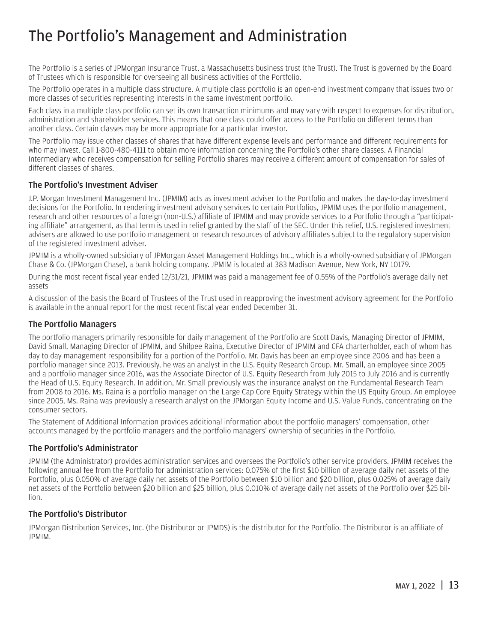# <span id="page-14-0"></span>The Portfolio's Management and Administration

The Portfolio is a series of JPMorgan Insurance Trust, a Massachusetts business trust (the Trust). The Trust is governed by the Board of Trustees which is responsible for overseeing all business activities of the Portfolio.

The Portfolio operates in a multiple class structure. A multiple class portfolio is an open-end investment company that issues two or more classes of securities representing interests in the same investment portfolio.

Each class in a multiple class portfolio can set its own transaction minimums and may vary with respect to expenses for distribution, administration and shareholder services. This means that one class could offer access to the Portfolio on different terms than another class. Certain classes may be more appropriate for a particular investor.

The Portfolio may issue other classes of shares that have different expense levels and performance and different requirements for who may invest. Call 1-800-480-4111 to obtain more information concerning the Portfolio's other share classes. A Financial Intermediary who receives compensation for selling Portfolio shares may receive a different amount of compensation for sales of different classes of shares.

#### The Portfolio's Investment Adviser

J.P. Morgan Investment Management Inc. (JPMIM) acts as investment adviser to the Portfolio and makes the day-to-day investment decisions for the Portfolio. In rendering investment advisory services to certain Portfolios, JPMIM uses the portfolio management, research and other resources of a foreign (non-U.S.) affiliate of JPMIM and may provide services to a Portfolio through a "participating affiliate" arrangement, as that term is used in relief granted by the staff of the SEC. Under this relief, U.S. registered investment advisers are allowed to use portfolio management or research resources of advisory affiliates subject to the regulatory supervision of the registered investment adviser.

JPMIM is a wholly-owned subsidiary of JPMorgan Asset Management Holdings Inc., which is a wholly-owned subsidiary of JPMorgan Chase & Co. (JPMorgan Chase), a bank holding company. JPMIM is located at 383 Madison Avenue, New York, NY 10179.

During the most recent fiscal year ended 12/31/21, JPMIM was paid a management fee of 0.55% of the Portfolio's average daily net assets

A discussion of the basis the Board of Trustees of the Trust used in reapproving the investment advisory agreement for the Portfolio is available in the annual report for the most recent fiscal year ended December 31.

#### The Portfolio Managers

The portfolio managers primarily responsible for daily management of the Portfolio are Scott Davis, Managing Director of JPMIM, David Small, Managing Director of JPMIM, and Shilpee Raina, Executive Director of JPMIM and CFA charterholder, each of whom has day to day management responsibility for a portion of the Portfolio. Mr. Davis has been an employee since 2006 and has been a portfolio manager since 2013. Previously, he was an analyst in the U.S. Equity Research Group. Mr. Small, an employee since 2005 and a portfolio manager since 2016, was the Associate Director of U.S. Equity Research from July 2015 to July 2016 and is currently the Head of U.S. Equity Research. In addition, Mr. Small previously was the insurance analyst on the Fundamental Research Team from 2008 to 2016. Ms. Raina is a portfolio manager on the Large Cap Core Equity Strategy within the US Equity Group. An employee since 2005, Ms. Raina was previously a research analyst on the JPMorgan Equity Income and U.S. Value Funds, concentrating on the consumer sectors.

The Statement of Additional Information provides additional information about the portfolio managers' compensation, other accounts managed by the portfolio managers and the portfolio managers' ownership of securities in the Portfolio.

#### The Portfolio's Administrator

JPMIM (the Administrator) provides administration services and oversees the Portfolio's other service providers. JPMIM receives the following annual fee from the Portfolio for administration services: 0.075% of the first \$10 billion of average daily net assets of the Portfolio, plus 0.050% of average daily net assets of the Portfolio between \$10 billion and \$20 billion, plus 0.025% of average daily net assets of the Portfolio between \$20 billion and \$25 billion, plus 0.010% of average daily net assets of the Portfolio over \$25 billion.

#### The Portfolio's Distributor

JPMorgan Distribution Services, Inc. (the Distributor or JPMDS) is the distributor for the Portfolio. The Distributor is an affiliate of JPMIM.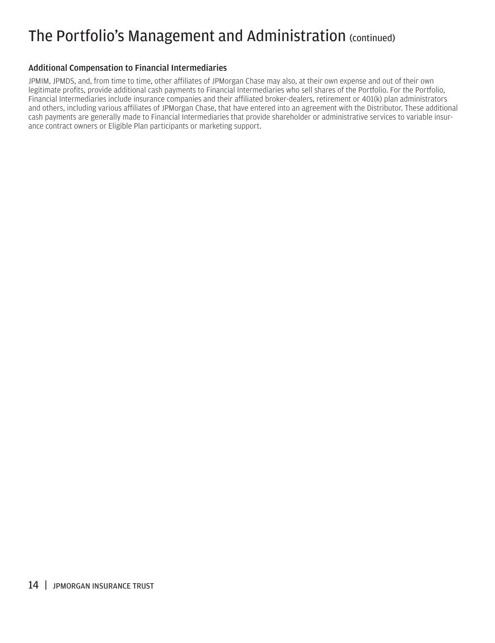# The Portfolio's Management and Administration (continued)

#### Additional Compensation to Financial Intermediaries

JPMIM, JPMDS, and, from time to time, other affiliates of JPMorgan Chase may also, at their own expense and out of their own legitimate profits, provide additional cash payments to Financial Intermediaries who sell shares of the Portfolio. For the Portfolio, Financial Intermediaries include insurance companies and their affiliated broker-dealers, retirement or 401(k) plan administrators and others, including various affiliates of JPMorgan Chase, that have entered into an agreement with the Distributor. These additional cash payments are generally made to Financial Intermediaries that provide shareholder or administrative services to variable insurance contract owners or Eligible Plan participants or marketing support.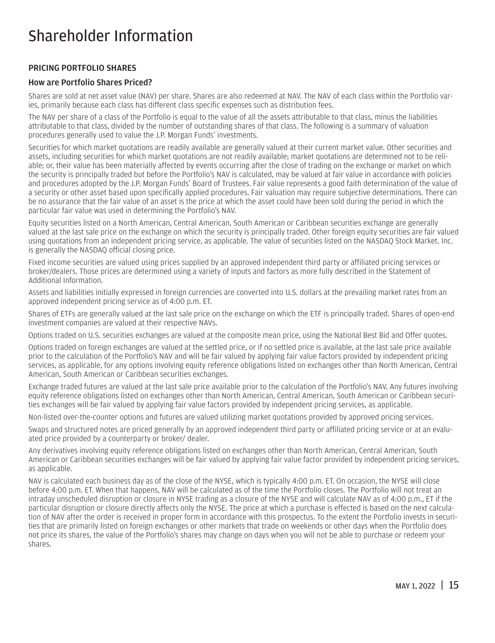### <span id="page-16-0"></span>Shareholder Information

#### PRICING PORTFOLIO SHARES

#### How are Portfolio Shares Priced?

Shares are sold at net asset value (NAV) per share. Shares are also redeemed at NAV. The NAV of each class within the Portfolio varies, primarily because each class has different class specific expenses such as distribution fees.

The NAV per share of a class of the Portfolio is equal to the value of all the assets attributable to that class, minus the liabilities attributable to that class, divided by the number of outstanding shares of that class. The following is a summary of valuation procedures generally used to value the J.P. Morgan Funds' investments.

Securities for which market quotations are readily available are generally valued at their current market value. Other securities and assets, including securities for which market quotations are not readily available; market quotations are determined not to be reliable; or, their value has been materially affected by events occurring after the close of trading on the exchange or market on which the security is principally traded but before the Portfolio's NAV is calculated, may be valued at fair value in accordance with policies and procedures adopted by the J.P. Morgan Funds' Board of Trustees. Fair value represents a good faith determination of the value of a security or other asset based upon specifically applied procedures. Fair valuation may require subjective determinations. There can be no assurance that the fair value of an asset is the price at which the asset could have been sold during the period in which the particular fair value was used in determining the Portfolio's NAV.

Equity securities listed on a North American, Central American, South American or Caribbean securities exchange are generally valued at the last sale price on the exchange on which the security is principally traded. Other foreign equity securities are fair valued using quotations from an independent pricing service, as applicable. The value of securities listed on the NASDAQ Stock Market, Inc. is generally the NASDAQ official closing price.

Fixed income securities are valued using prices supplied by an approved independent third party or affiliated pricing services or broker/dealers. Those prices are determined using a variety of inputs and factors as more fully described in the Statement of Additional Information.

Assets and liabilities initially expressed in foreign currencies are converted into U.S. dollars at the prevailing market rates from an approved independent pricing service as of 4:00 p.m. ET.

Shares of ETFs are generally valued at the last sale price on the exchange on which the ETF is principally traded. Shares of open-end investment companies are valued at their respective NAVs.

Options traded on U.S. securities exchanges are valued at the composite mean price, using the National Best Bid and Offer quotes.

Options traded on foreign exchanges are valued at the settled price, or if no settled price is available, at the last sale price available prior to the calculation of the Portfolio's NAV and will be fair valued by applying fair value factors provided by independent pricing services, as applicable, for any options involving equity reference obligations listed on exchanges other than North American, Central American, South American or Caribbean securities exchanges.

Exchange traded futures are valued at the last sale price available prior to the calculation of the Portfolio's NAV. Any futures involving equity reference obligations listed on exchanges other than North American, Central American, South American or Caribbean securities exchanges will be fair valued by applying fair value factors provided by independent pricing services, as applicable.

Non-listed over-the-counter options and futures are valued utilizing market quotations provided by approved pricing services.

Swaps and structured notes are priced generally by an approved independent third party or affiliated pricing service or at an evaluated price provided by a counterparty or broker/ dealer.

Any derivatives involving equity reference obligations listed on exchanges other than North American, Central American, South American or Caribbean securities exchanges will be fair valued by applying fair value factor provided by independent pricing services, as applicable.

NAV is calculated each business day as of the close of the NYSE, which is typically 4:00 p.m. ET. On occasion, the NYSE will close before 4:00 p.m. ET. When that happens, NAV will be calculated as of the time the Portfolio closes. The Portfolio will not treat an intraday unscheduled disruption or closure in NYSE trading as a closure of the NYSE and will calculate NAV as of 4:00 p.m., ET if the particular disruption or closure directly affects only the NYSE. The price at which a purchase is effected is based on the next calculation of NAV after the order is received in proper form in accordance with this prospectus. To the extent the Portfolio invests in securities that are primarily listed on foreign exchanges or other markets that trade on weekends or other days when the Portfolio does not price its shares, the value of the Portfolio's shares may change on days when you will not be able to purchase or redeem your shares.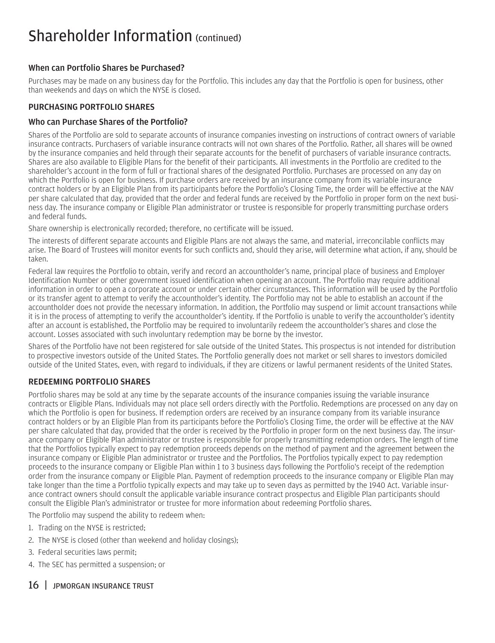### <span id="page-17-0"></span>Shareholder Information (continued)

#### When can Portfolio Shares be Purchased?

Purchases may be made on any business day for the Portfolio. This includes any day that the Portfolio is open for business, other than weekends and days on which the NYSE is closed.

#### PURCHASING PORTFOLIO SHARES

#### Who can Purchase Shares of the Portfolio?

Shares of the Portfolio are sold to separate accounts of insurance companies investing on instructions of contract owners of variable insurance contracts. Purchasers of variable insurance contracts will not own shares of the Portfolio. Rather, all shares will be owned by the insurance companies and held through their separate accounts for the benefit of purchasers of variable insurance contracts. Shares are also available to Eligible Plans for the benefit of their participants. All investments in the Portfolio are credited to the shareholder's account in the form of full or fractional shares of the designated Portfolio. Purchases are processed on any day on which the Portfolio is open for business. If purchase orders are received by an insurance company from its variable insurance contract holders or by an Eligible Plan from its participants before the Portfolio's Closing Time, the order will be effective at the NAV per share calculated that day, provided that the order and federal funds are received by the Portfolio in proper form on the next business day. The insurance company or Eligible Plan administrator or trustee is responsible for properly transmitting purchase orders and federal funds.

Share ownership is electronically recorded; therefore, no certificate will be issued.

The interests of different separate accounts and Eligible Plans are not always the same, and material, irreconcilable conflicts may arise. The Board of Trustees will monitor events for such conflicts and, should they arise, will determine what action, if any, should be taken.

Federal law requires the Portfolio to obtain, verify and record an accountholder's name, principal place of business and Employer Identification Number or other government issued identification when opening an account. The Portfolio may require additional information in order to open a corporate account or under certain other circumstances. This information will be used by the Portfolio or its transfer agent to attempt to verify the accountholder's identity. The Portfolio may not be able to establish an account if the accountholder does not provide the necessary information. In addition, the Portfolio may suspend or limit account transactions while it is in the process of attempting to verify the accountholder's identity. If the Portfolio is unable to verify the accountholder's identity after an account is established, the Portfolio may be required to involuntarily redeem the accountholder's shares and close the account. Losses associated with such involuntary redemption may be borne by the investor.

Shares of the Portfolio have not been registered for sale outside of the United States. This prospectus is not intended for distribution to prospective investors outside of the United States. The Portfolio generally does not market or sell shares to investors domiciled outside of the United States, even, with regard to individuals, if they are citizens or lawful permanent residents of the United States.

#### REDEEMING PORTFOLIO SHARES

Portfolio shares may be sold at any time by the separate accounts of the insurance companies issuing the variable insurance contracts or Eligible Plans. Individuals may not place sell orders directly with the Portfolio. Redemptions are processed on any day on which the Portfolio is open for business. If redemption orders are received by an insurance company from its variable insurance contract holders or by an Eligible Plan from its participants before the Portfolio's Closing Time, the order will be effective at the NAV per share calculated that day, provided that the order is received by the Portfolio in proper form on the next business day. The insurance company or Eligible Plan administrator or trustee is responsible for properly transmitting redemption orders. The length of time that the Portfolios typically expect to pay redemption proceeds depends on the method of payment and the agreement between the insurance company or Eligible Plan administrator or trustee and the Portfolios. The Portfolios typically expect to pay redemption proceeds to the insurance company or Eligible Plan within 1 to 3 business days following the Portfolio's receipt of the redemption order from the insurance company or Eligible Plan. Payment of redemption proceeds to the insurance company or Eligible Plan may take longer than the time a Portfolio typically expects and may take up to seven days as permitted by the 1940 Act. Variable insurance contract owners should consult the applicable variable insurance contract prospectus and Eligible Plan participants should consult the Eligible Plan's administrator or trustee for more information about redeeming Portfolio shares.

The Portfolio may suspend the ability to redeem when:

- 1. Trading on the NYSE is restricted;
- 2. The NYSE is closed (other than weekend and holiday closings);
- 3. Federal securities laws permit;
- 4. The SEC has permitted a suspension; or

#### 16 | JPMORGAN INSURANCE TRUST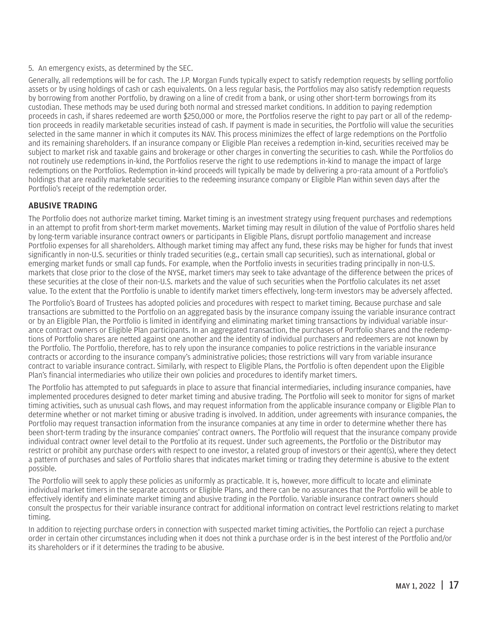#### <span id="page-18-0"></span>5. An emergency exists, as determined by the SEC.

Generally, all redemptions will be for cash. The J.P. Morgan Funds typically expect to satisfy redemption requests by selling portfolio assets or by using holdings of cash or cash equivalents. On a less regular basis, the Portfolios may also satisfy redemption requests by borrowing from another Portfolio, by drawing on a line of credit from a bank, or using other short-term borrowings from its custodian. These methods may be used during both normal and stressed market conditions. In addition to paying redemption proceeds in cash, if shares redeemed are worth \$250,000 or more, the Portfolios reserve the right to pay part or all of the redemption proceeds in readily marketable securities instead of cash. If payment is made in securities, the Portfolio will value the securities selected in the same manner in which it computes its NAV. This process minimizes the effect of large redemptions on the Portfolio and its remaining shareholders. If an insurance company or Eligible Plan receives a redemption in-kind, securities received may be subject to market risk and taxable gains and brokerage or other charges in converting the securities to cash. While the Portfolios do not routinely use redemptions in-kind, the Portfolios reserve the right to use redemptions in-kind to manage the impact of large redemptions on the Portfolios. Redemption in-kind proceeds will typically be made by delivering a pro-rata amount of a Portfolio's holdings that are readily marketable securities to the redeeming insurance company or Eligible Plan within seven days after the Portfolio's receipt of the redemption order.

#### ABUSIVE TRADING

The Portfolio does not authorize market timing. Market timing is an investment strategy using frequent purchases and redemptions in an attempt to profit from short-term market movements. Market timing may result in dilution of the value of Portfolio shares held by long-term variable insurance contract owners or participants in Eligible Plans, disrupt portfolio management and increase Portfolio expenses for all shareholders. Although market timing may affect any fund, these risks may be higher for funds that invest significantly in non-U.S. securities or thinly traded securities (e.g., certain small cap securities), such as international, global or emerging market funds or small cap funds. For example, when the Portfolio invests in securities trading principally in non-U.S. markets that close prior to the close of the NYSE, market timers may seek to take advantage of the difference between the prices of these securities at the close of their non-U.S. markets and the value of such securities when the Portfolio calculates its net asset value. To the extent that the Portfolio is unable to identify market timers effectively, long-term investors may be adversely affected.

The Portfolio's Board of Trustees has adopted policies and procedures with respect to market timing. Because purchase and sale transactions are submitted to the Portfolio on an aggregated basis by the insurance company issuing the variable insurance contract or by an Eligible Plan, the Portfolio is limited in identifying and eliminating market timing transactions by individual variable insurance contract owners or Eligible Plan participants. In an aggregated transaction, the purchases of Portfolio shares and the redemptions of Portfolio shares are netted against one another and the identity of individual purchasers and redeemers are not known by the Portfolio. The Portfolio, therefore, has to rely upon the insurance companies to police restrictions in the variable insurance contracts or according to the insurance company's administrative policies; those restrictions will vary from variable insurance contract to variable insurance contract. Similarly, with respect to Eligible Plans, the Portfolio is often dependent upon the Eligible Plan's financial intermediaries who utilize their own policies and procedures to identify market timers.

The Portfolio has attempted to put safeguards in place to assure that financial intermediaries, including insurance companies, have implemented procedures designed to deter market timing and abusive trading. The Portfolio will seek to monitor for signs of market timing activities, such as unusual cash flows, and may request information from the applicable insurance company or Eligible Plan to determine whether or not market timing or abusive trading is involved. In addition, under agreements with insurance companies, the Portfolio may request transaction information from the insurance companies at any time in order to determine whether there has been short-term trading by the insurance companies' contract owners. The Portfolio will request that the insurance company provide individual contract owner level detail to the Portfolio at its request. Under such agreements, the Portfolio or the Distributor may restrict or prohibit any purchase orders with respect to one investor, a related group of investors or their agent(s), where they detect a pattern of purchases and sales of Portfolio shares that indicates market timing or trading they determine is abusive to the extent possible.

The Portfolio will seek to apply these policies as uniformly as practicable. It is, however, more difficult to locate and eliminate individual market timers in the separate accounts or Eligible Plans, and there can be no assurances that the Portfolio will be able to effectively identify and eliminate market timing and abusive trading in the Portfolio. Variable insurance contract owners should consult the prospectus for their variable insurance contract for additional information on contract level restrictions relating to market timing.

In addition to rejecting purchase orders in connection with suspected market timing activities, the Portfolio can reject a purchase order in certain other circumstances including when it does not think a purchase order is in the best interest of the Portfolio and/or its shareholders or if it determines the trading to be abusive.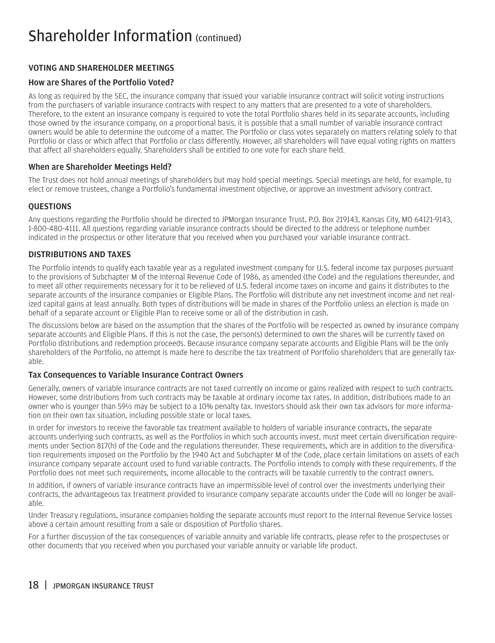### <span id="page-19-0"></span>Shareholder Information (continued)

#### VOTING AND SHAREHOLDER MEETINGS

#### How are Shares of the Portfolio Voted?

As long as required by the SEC, the insurance company that issued your variable insurance contract will solicit voting instructions from the purchasers of variable insurance contracts with respect to any matters that are presented to a vote of shareholders. Therefore, to the extent an insurance company is required to vote the total Portfolio shares held in its separate accounts, including those owned by the insurance company, on a proportional basis, it is possible that a small number of variable insurance contract owners would be able to determine the outcome of a matter. The Portfolio or class votes separately on matters relating solely to that Portfolio or class or which affect that Portfolio or class differently. However, all shareholders will have equal voting rights on matters that affect all shareholders equally. Shareholders shall be entitled to one vote for each share held.

#### When are Shareholder Meetings Held?

The Trust does not hold annual meetings of shareholders but may hold special meetings. Special meetings are held, for example, to elect or remove trustees, change a Portfolio's fundamental investment objective, or approve an investment advisory contract.

#### QUESTIONS

Any questions regarding the Portfolio should be directed to JPMorgan Insurance Trust, P.O. Box 219143, Kansas City, MO 64121-9143, 1-800-480-4111. All questions regarding variable insurance contracts should be directed to the address or telephone number indicated in the prospectus or other literature that you received when you purchased your variable insurance contract.

#### DISTRIBUTIONS AND TAXES

The Portfolio intends to qualify each taxable year as a regulated investment company for U.S. federal income tax purposes pursuant to the provisions of Subchapter M of the Internal Revenue Code of 1986, as amended (the Code) and the regulations thereunder, and to meet all other requirements necessary for it to be relieved of U.S. federal income taxes on income and gains it distributes to the separate accounts of the insurance companies or Eligible Plans. The Portfolio will distribute any net investment income and net realized capital gains at least annually. Both types of distributions will be made in shares of the Portfolio unless an election is made on behalf of a separate account or Eligible Plan to receive some or all of the distribution in cash.

The discussions below are based on the assumption that the shares of the Portfolio will be respected as owned by insurance company separate accounts and Eligible Plans. If this is not the case, the person(s) determined to own the shares will be currently taxed on Portfolio distributions and redemption proceeds. Because insurance company separate accounts and Eligible Plans will be the only shareholders of the Portfolio, no attempt is made here to describe the tax treatment of Portfolio shareholders that are generally taxable.

#### Tax Consequences to Variable Insurance Contract Owners

Generally, owners of variable insurance contracts are not taxed currently on income or gains realized with respect to such contracts. However, some distributions from such contracts may be taxable at ordinary income tax rates. In addition, distributions made to an owner who is younger than 59½ may be subject to a 10% penalty tax. Investors should ask their own tax advisors for more information on their own tax situation, including possible state or local taxes.

In order for investors to receive the favorable tax treatment available to holders of variable insurance contracts, the separate accounts underlying such contracts, as well as the Portfolios in which such accounts invest, must meet certain diversification requirements under Section 817(h) of the Code and the regulations thereunder. These requirements, which are in addition to the diversification requirements imposed on the Portfolio by the 1940 Act and Subchapter M of the Code, place certain limitations on assets of each insurance company separate account used to fund variable contracts. The Portfolio intends to comply with these requirements. If the Portfolio does not meet such requirements, income allocable to the contracts will be taxable currently to the contract owners.

In addition, if owners of variable insurance contracts have an impermissible level of control over the investments underlying their contracts, the advantageous tax treatment provided to insurance company separate accounts under the Code will no longer be available.

Under Treasury regulations, insurance companies holding the separate accounts must report to the Internal Revenue Service losses above a certain amount resulting from a sale or disposition of Portfolio shares.

For a further discussion of the tax consequences of variable annuity and variable life contracts, please refer to the prospectuses or other documents that you received when you purchased your variable annuity or variable life product.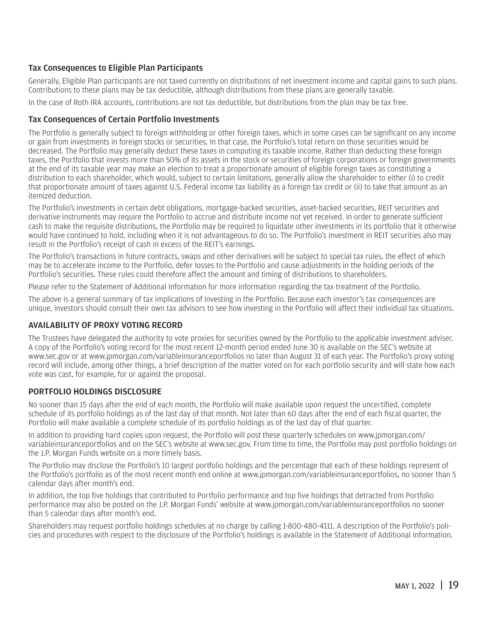#### <span id="page-20-0"></span>Tax Consequences to Eligible Plan Participants

Generally, Eligible Plan participants are not taxed currently on distributions of net investment income and capital gains to such plans. Contributions to these plans may be tax deductible, although distributions from these plans are generally taxable.

In the case of Roth IRA accounts, contributions are not tax deductible, but distributions from the plan may be tax free.

#### Tax Consequences of Certain Portfolio Investments

The Portfolio is generally subject to foreign withholding or other foreign taxes, which in some cases can be significant on any income or gain from investments in foreign stocks or securities. In that case, the Portfolio's total return on those securities would be decreased. The Portfolio may generally deduct these taxes in computing its taxable income. Rather than deducting these foreign taxes, the Portfolio that invests more than 50% of its assets in the stock or securities of foreign corporations or foreign governments at the end of its taxable year may make an election to treat a proportionate amount of eligible foreign taxes as constituting a distribution to each shareholder, which would, subject to certain limitations, generally allow the shareholder to either (i) to credit that proportionate amount of taxes against U.S. Federal income tax liability as a foreign tax credit or (ii) to take that amount as an itemized deduction.

The Portfolio's investments in certain debt obligations, mortgage-backed securities, asset-backed securities, REIT securities and derivative instruments may require the Portfolio to accrue and distribute income not yet received. In order to generate sufficient cash to make the requisite distributions, the Portfolio may be required to liquidate other investments in its portfolio that it otherwise would have continued to hold, including when it is not advantageous to do so. The Portfolio's investment in REIT securities also may result in the Portfolio's receipt of cash in excess of the REIT's earnings.

The Portfolio's transactions in future contracts, swaps and other derivatives will be subject to special tax rules, the effect of which may be to accelerate income to the Portfolio, defer losses to the Portfolio and cause adjustments in the holding periods of the Portfolio's securities. These rules could therefore affect the amount and timing of distributions to shareholders.

Please refer to the Statement of Additional Information for more information regarding the tax treatment of the Portfolio.

The above is a general summary of tax implications of investing in the Portfolio. Because each investor's tax consequences are unique, investors should consult their own tax advisors to see how investing in the Portfolio will affect their individual tax situations.

#### AVAILABILITY OF PROXY VOTING RECORD

The Trustees have delegated the authority to vote proxies for securities owned by the Portfolio to the applicable investment adviser. A copy of the Portfolio's voting record for the most recent 12-month period ended June 30 is available on the SEC's website at www.sec.gov or at www.jpmorgan.com/variableinsuranceportfolios no later than August 31 of each year. The Portfolio's proxy voting record will include, among other things, a brief description of the matter voted on for each portfolio security and will state how each vote was cast, for example, for or against the proposal.

#### PORTFOLIO HOLDINGS DISCLOSURE

No sooner than 15 days after the end of each month, the Portfolio will make available upon request the uncertified, complete schedule of its portfolio holdings as of the last day of that month. Not later than 60 days after the end of each fiscal quarter, the Portfolio will make available a complete schedule of its portfolio holdings as of the last day of that quarter.

In addition to providing hard copies upon request, the Portfolio will post these quarterly schedules on www.jpmorgan.com/ variableinsuranceportfolios and on the SEC's website at www.sec.gov. From time to time, the Portfolio may post portfolio holdings on the J.P. Morgan Funds website on a more timely basis.

The Portfolio may disclose the Portfolio's 10 largest portfolio holdings and the percentage that each of these holdings represent of the Portfolio's portfolio as of the most recent month end online at www.jpmorgan.com/variableinsuranceportfolios, no sooner than 5 calendar days after month's end.

In addition, the top five holdings that contributed to Portfolio performance and top five holdings that detracted from Portfolio performance may also be posted on the J.P. Morgan Funds' website at www.jpmorgan.com/variableinsuranceportfolios no sooner than 5 calendar days after month's end.

Shareholders may request portfolio holdings schedules at no charge by calling 1-800-480-4111. A description of the Portfolio's policies and procedures with respect to the disclosure of the Portfolio's holdings is available in the Statement of Additional Information.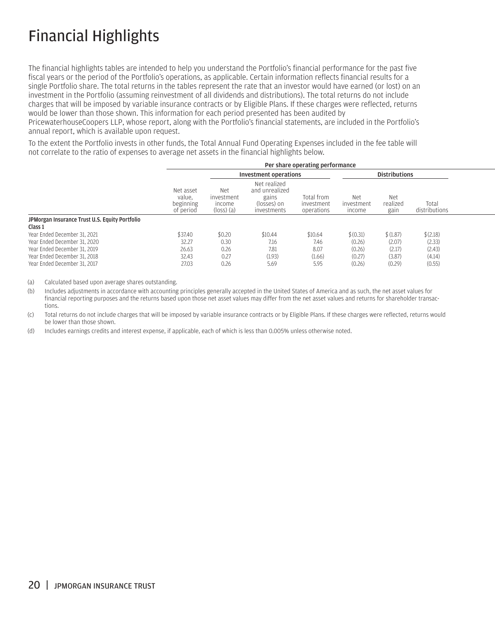# <span id="page-21-0"></span>Financial Highlights

The financial highlights tables are intended to help you understand the Portfolio's financial performance for the past five fiscal years or the period of the Portfolio's operations, as applicable. Certain information reflects financial results for a single Portfolio share. The total returns in the tables represent the rate that an investor would have earned (or lost) on an investment in the Portfolio (assuming reinvestment of all dividends and distributions). The total returns do not include charges that will be imposed by variable insurance contracts or by Eligible Plans. If these charges were reflected, returns would be lower than those shown. This information for each period presented has been audited by

PricewaterhouseCoopers LLP, whose report, along with the Portfolio's financial statements, are included in the Portfolio's annual report, which is available upon request.

To the extent the Portfolio invests in other funds, the Total Annual Fund Operating Expenses included in the fee table will not correlate to the ratio of expenses to average net assets in the financial highlights below.

|                                                           | Per share operating performance               |                                                      |                                                                       |                                        |                                    |                         |                        |  |
|-----------------------------------------------------------|-----------------------------------------------|------------------------------------------------------|-----------------------------------------------------------------------|----------------------------------------|------------------------------------|-------------------------|------------------------|--|
|                                                           |                                               | <b>Investment operations</b>                         |                                                                       |                                        | <b>Distributions</b>               |                         |                        |  |
|                                                           | Net asset<br>value.<br>beginning<br>of period | Net<br>investment<br>income<br>$(\text{loss})$ $(a)$ | Net realized<br>and unrealized<br>gains<br>(losses) on<br>investments | Total from<br>investment<br>operations | <b>Net</b><br>investment<br>income | Net<br>realized<br>gain | Total<br>distributions |  |
| JPMorgan Insurance Trust U.S. Equity Portfolio<br>Class 1 |                                               |                                                      |                                                                       |                                        |                                    |                         |                        |  |
| Year Ended December 31, 2021                              | \$37.40                                       | \$0.20                                               | \$10.44                                                               | \$10.64                                | \$(0.31)                           | \$(1.87)                | \$(2.18)               |  |
| Year Ended December 31, 2020                              | 32.27                                         | 0.30                                                 | 7.16                                                                  | 7.46                                   | (0.26)                             | (2.07)                  | (2.33)                 |  |
| Year Ended December 31, 2019                              | 26.63                                         | 0.26                                                 | 7.81                                                                  | 8.07                                   | (0.26)                             | (2.17)                  | (2.43)                 |  |
| Year Ended December 31, 2018                              | 32.43                                         | 0.27                                                 | (1.93)                                                                | (1.66)                                 | (0.27)                             | (3.87)                  | (4.14)                 |  |
| Year Ended December 31, 2017                              | 27.03                                         | 0.26                                                 | 5.69                                                                  | 5.95                                   | (0.26)                             | (0.29)                  | (0.55)                 |  |

(a) Calculated based upon average shares outstanding.

(b) Includes adjustments in accordance with accounting principles generally accepted in the United States of America and as such, the net asset values for financial reporting purposes and the returns based upon those net asset values may differ from the net asset values and returns for shareholder transactions.

(c) Total returns do not include charges that will be imposed by variable insurance contracts or by Eligible Plans. If these charges were reflected, returns would be lower than those shown.

(d) Includes earnings credits and interest expense, if applicable, each of which is less than 0.005% unless otherwise noted.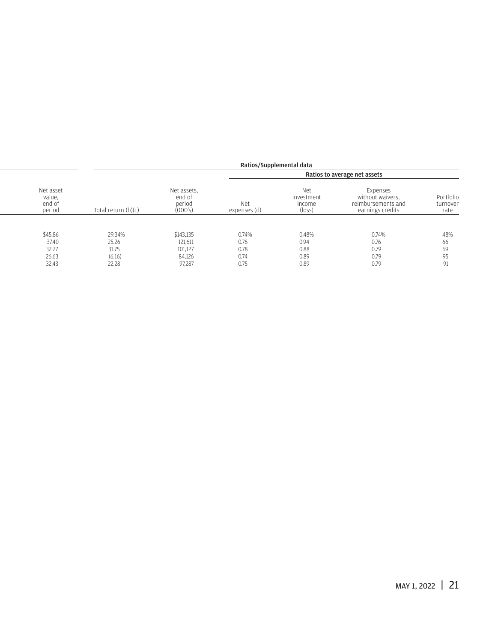|                                         |                       |                                            |                     | Ratios/Supplemental data                       |                                                                        |                               |
|-----------------------------------------|-----------------------|--------------------------------------------|---------------------|------------------------------------------------|------------------------------------------------------------------------|-------------------------------|
|                                         |                       |                                            |                     |                                                | Ratios to average net assets                                           |                               |
| Net asset<br>value.<br>end of<br>period | Total return $(b)(c)$ | Net assets.<br>end of<br>period<br>(000's) | Net<br>expenses (d) | Net<br>investment<br>income<br>$(\text{loss})$ | Expenses<br>without waivers.<br>reimbursements and<br>earnings credits | Portfolio<br>turnover<br>rate |
|                                         |                       |                                            |                     |                                                |                                                                        |                               |
| \$45.86                                 | 29.34%                | \$143,135                                  | 0.74%               | 0.48%                                          | 0.74%                                                                  | 48%                           |
| 37.40                                   | 25.26                 | 121,611                                    | 0.76                | 0.94                                           | 0.76                                                                   | 66                            |
| 32.27                                   | 31.75                 | 101,127                                    | 0.78                | 0.88                                           | 0.79                                                                   | 69                            |
| 26.63                                   | (6.16)                | 84,126                                     | 0.74                | 0.89                                           | 0.79                                                                   | 95                            |
| 32.43                                   | 22.28                 | 97.287                                     | 0.75                | 0.89                                           | 0.79                                                                   | 91                            |
|                                         |                       |                                            |                     |                                                |                                                                        |                               |